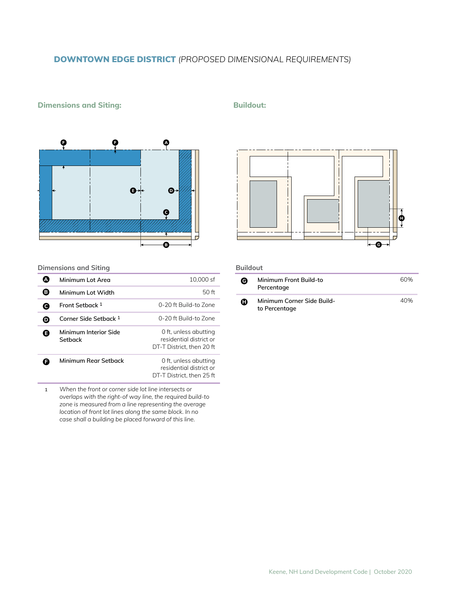# DOWNTOWN EDGE DISTRICT *(PROPOSED DIMENSIONAL REQUIREMENTS)*

## **Dimensions and Siting: Buildout: Buildout:**



### **Dimensions and Siting**

|           | Minimum Lot Area                 | 10.000 sf                                                                     |
|-----------|----------------------------------|-------------------------------------------------------------------------------|
| B.        | Minimum Lot Width                | 50 ft                                                                         |
|           | Front Setback 1                  | 0-20 ft Build-to Zone                                                         |
| $\bullet$ | Corner Side Setback 1            | 0-20 ft Build-to Zone                                                         |
| A         | Minimum Interior Side<br>Setback | 0 ft, unless abutting<br>residential district or<br>DT-T District. then 20 ft |
|           | Minimum Rear Setback             | 0 ft, unless abutting<br>residential district or<br>DT-T District, then 25 ft |

**1** *When the front or corner side lot line intersects or overlaps with the right-of way line, the required build-to zone is measured from a line representing the average location of front lot lines along the same block. In no case shall a building be placed forward of this line.*



#### **Buildout**

| Θ | Minimum Front Build-to<br>Percentage        | 60% |
|---|---------------------------------------------|-----|
| o | Minimum Corner Side Build-<br>to Percentage | 40% |